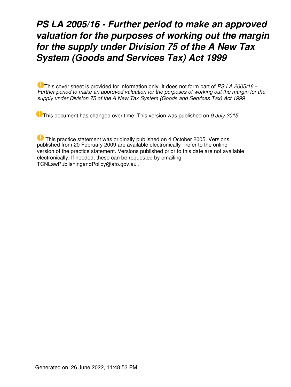# *PS LA 2005/16 - Further period to make an approved valuation for the purposes of working out the margin for the supply under Division 75 of the A New Tax System (Goods and Services Tax) Act 1999*

This cover sheet is provided for information only. It does not form part of *PS LA 2005/16 - Further period to make an approved valuation for the purposes of working out the margin for the supply under Division 75 of the A New Tax System (Goods and Services Tax) Act 1999*

This document has changed over time. This version was published on *9 July 2015*

 This practice statement was originally published on 4 October 2005. Versions published from 20 February 2009 are available electronically - refer to the online version of the practice statement. Versions published prior to this date are not available electronically. If needed, these can be requested by emailing TCNLawPublishingandPolicy@ato.gov.au .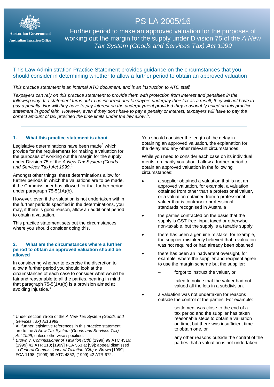

**Australian Government Australian Taxation Office** 

# **PS LA 2006/30**<br>Palaceae annuncia de distin PS LA 2005/16

Trading stock: oyster farmers using the stick farming working out the margin for the supply under Division 75 of the *A New*  Tax System (Goods and Services Tax) Act 1999 Further period to make an approved valuation for the purposes of

# This Law Administration Practice Statement provides guidance on the circumstances that you should consider in determining whether to allow a further period to obtain an approved valuation

# *This practice statement is an internal ATO document, and is an instruction to ATO staff.*

*Taxpayers can rely on this practice statement to provide them with protection from interest and penalties in the following way. If a statement turns out to be incorrect and taxpayers underpay their tax as a result, they will not have to pay a penalty. Nor will they have to pay interest on the underpayment provided they reasonably relied on this practice statement in good faith. However, even if they don't have to pay a penalty or interest, taxpayers will have to pay the correct amount of tax provided the time limits under the law allow it.*

## **1. What this practice statement is about**

Legislative determinations have been made<sup>[1](#page-1-0)</sup> which provide for the requirements for making a valuation for the purposes of working out the margin for the supply under Division 75 of the *A New Tax System (Goods and Services Tax) Act 1999*. [2](#page-1-1)

Amongst other things, these determinations allow for further periods in which the valuations are to be made, if the Commissioner has allowed for that further period under paragraph 75-5(1A)(b).

However, even if the valuation is not undertaken within the further periods specified in the determinations, you may, if there is good reason, allow an additional period to obtain a valuation.

This practice statement sets out the circumstances where you should consider doing this.

## **2. What are the circumstances where a further period to obtain an approved valuation should be allowed**

In considering whether to exercise the discretion to allow a further period you should look at the circumstances of each case to consider what would be fair and reasonable to all the parties, bearing in mind that paragraph 75-5(1A)(b) is a provision aimed at avoiding injustice.<sup>[3](#page-1-2)</sup>

 $\overline{\phantom{a}}$ 

You should consider the length of the delay in obtaining an approved valuation, the explanation for the delay and any other relevant circumstances.

While you need to consider each case on its individual merits, ordinarily you should allow a further period to obtain an approved valuation in the following circumstances:

- a supplier obtained a valuation that is not an approved valuation, for example, a valuation obtained from other than a professional valuer, or a valuation obtained from a professional valuer that is contrary to professional standards recognised in Australia
- the parties contracted on the basis that the supply is GST-free, input taxed or otherwise non-taxable, but the supply is a taxable supply
- there has been a genuine mistake, for example, the supplier mistakenly believed that a valuation was not required or had already been obtained
- there has been an inadvertent oversight, for example, where the supplier and recipient agree to use the margin scheme but the supplier:
	- forgot to instruct the valuer, or
	- failed to notice that the valuer had not valued all the lots in a subdivision.
- a valuation was not undertaken for reasons outside the control of the parties. For example:
	- settlement was close to the end of a tax period and the supplier has taken reasonable steps to obtain a valuation on time, but there was insufficient time to obtain one, or
	- any other reasons outside the control of the parties that a valuation is not undertaken.

<span id="page-1-0"></span><sup>1</sup> Under section 75-35 of the *A New Tax System (Goods and Services Tax) Act 1999.*<br><sup>2</sup> All further legislative references in this practice statement

<span id="page-1-1"></span>are to the *A New Tax System (Goods and Services Tax)* 

<span id="page-1-2"></span>*Act 1999*, unless otherwise specified. <sup>3</sup> *Brown v. Commissioner of Taxation (Cth)* (1999) 99 ATC 4516; (1999) 42 ATR 118; [1999] FCA 563 at [59]; appeal dismissed in *Federal Commissioner of Taxation (Cth) v. Brown* [1999] FCA 1198; (1999) 99 ATC 4852; (1999) 42 ATR 672.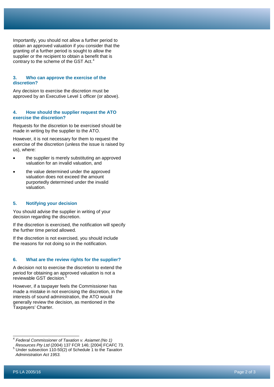Importantly, you should not allow a further period to obtain an approved valuation if you consider that the granting of a further period is sought to allow the supplier or the recipient to obtain a benefit that is contrary to the scheme of the GST Act.<sup>[4](#page-2-0)</sup>

#### **3. Who can approve the exercise of the discretion?**

Any decision to exercise the discretion must be approved by an Executive Level 1 officer (or above).

#### **4. How should the supplier request the ATO exercise the discretion?**

Requests for the discretion to be exercised should be made in writing by the supplier to the ATO.

However, it is not necessary for them to request the exercise of the discretion (unless the issue is raised by us), where:

- the supplier is merely substituting an approved valuation for an invalid valuation, and
- the value determined under the approved valuation does not exceed the amount purportedly determined under the invalid valuation.

# **5. Notifying your decision**

You should advise the supplier in writing of your decision regarding the discretion.

If the discretion is exercised, the notification will specify the further time period allowed.

If the discretion is not exercised, you should include the reasons for not doing so in the notification.

## **6. What are the review rights for the supplier?**

A decision not to exercise the discretion to extend the period for obtaining an approved valuation is not a reviewable GST decision. [5](#page-2-1)

However, if a taxpayer feels the Commissioner has made a mistake in not exercising the discretion, in the interests of sound administration, the ATO would generally review the decision, as mentioned in the Taxpayers' Charter .

<span id="page-2-0"></span><sup>4</sup> *Federal Commissioner of Taxation v. Asiamet (No 1) Resources Pty Ltd* (2004) 137 FCR 146; [2004] FCAFC 73.  $\overline{\phantom{a}}$ 

<span id="page-2-1"></span><sup>5</sup> Under subsection 110-50(2) of Schedule 1 to the *Taxation Administration Act 1953 .*